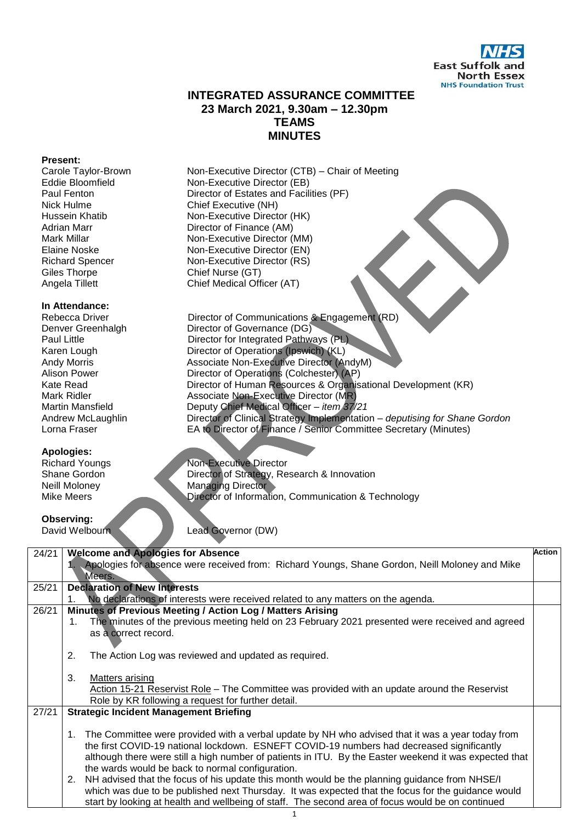

## **INTEGRATED ASSURANCE COMMITTEE 23 March 2021, 9.30am – 12.30pm TEAMS MINUTES**

#### **Present:**

Giles Thorpe Chief Nurse (GT)<br>
Angela Tillett Chief Medical Off

#### **In Attendance:**

### **Apologies:**

Carole Taylor-Brown Mon-Executive Director (CTB) – Chair of Meeting<br>Eddie Bloomfield Mon-Executive Director (EB) Eddie Bloomfield **Non-Executive Director (EB)**<br>Paul Fenton **Non-Executive Director of Estates and Facil** Director of Estates and Facilities (PF) Nick Hulme Chief Executive (NH)<br>
Hussein Khatib Mon-Executive Direct Non-Executive Director (HK) Adrian Marr Director of Finance (AM) Mark Millar **Non-Executive Director (MM)**<br>Elaine Noske **Non-Executive Director (EN)** Elaine Noske<br>
Richard Spencer<br>
Non-Executive Director (RS)<br>
Non-Executive Director (RS) Richard Spencer Non-Executive Director (RS)<br>Giles Thorpe Chief Nurse (GT) Chief Medical Officer (AT)

Rebecca Driver **Director of Communications & Engagement (RD)**<br>Denver Greenhalgh **Director of Governance (DG)** Director of Governance (DG) Paul Little **Paul Little Director for Integrated Pathways (PL)** Karen Lough Director of Operations (Ipswich) (KL)<br>Andy Morris Associate Non-Executive Director (A Andy Morris **All Associate Non-Executive Director (AndyM)**<br>Alison Power **All Access Director of Operations (Colchester) (AP)** Alison Power **Director of Operations (Colchester) (AP)**<br>
Kate Read **Director of Human Resources & Organis** Kate Read **Director of Human Resources & Organisational Development (KR)**<br>Mark Ridler **Constitution Associate Nep-Executive Director (MR)** Associate Non-Executive Director (MR) Martin Mansfield Deputy Chief Medical Officer – *item 37/21* Andrew McLaughlin Director of Clinical Strategy Implementation – *deputising for Shane Gordon* Lorna Fraser EA to Director of Finance / Senior Committee Secretary (Minutes)

Richard Youngs<br>
Shane Gordon<br>
Director of Strategy, Re Shane Gordon Director of Strategy, Research & Innovation<br>
Neill Molonev Managing Director Neill Moloney Managing Director<br>Mike Meers Director of Information Director of Information, Communication & Technology

# **Observing:**<br>David Welbourr

Lead Governor (DW)

| 24/21 | <b>Welcome and Apologies for Absence</b>                                                               | <b>Action</b> |
|-------|--------------------------------------------------------------------------------------------------------|---------------|
|       | Apologies for absence were received from: Richard Youngs, Shane Gordon, Neill Moloney and Mike         |               |
|       | Meers.                                                                                                 |               |
| 25/21 | <b>Declaration of New Interests</b>                                                                    |               |
|       | No declarations of interests were received related to any matters on the agenda.<br>1.                 |               |
| 26/21 | Minutes of Previous Meeting / Action Log / Matters Arising                                             |               |
|       | The minutes of the previous meeting held on 23 February 2021 presented were received and agreed<br>1.  |               |
|       | as a correct record.                                                                                   |               |
|       |                                                                                                        |               |
|       | 2.<br>The Action Log was reviewed and updated as required.                                             |               |
|       |                                                                                                        |               |
|       | 3.<br>Matters arising                                                                                  |               |
|       | Action 15-21 Reservist Role – The Committee was provided with an update around the Reservist           |               |
|       | Role by KR following a request for further detail.                                                     |               |
| 27/21 | <b>Strategic Incident Management Briefing</b>                                                          |               |
|       |                                                                                                        |               |
|       | The Committee were provided with a verbal update by NH who advised that it was a year today from<br>1. |               |
|       | the first COVID-19 national lockdown. ESNEFT COVID-19 numbers had decreased significantly              |               |
|       | although there were still a high number of patients in ITU. By the Easter weekend it was expected that |               |
|       | the wards would be back to normal configuration.                                                       |               |
|       | NH advised that the focus of his update this month would be the planning guidance from NHSE/I<br>2.    |               |
|       | which was due to be published next Thursday. It was expected that the focus for the guidance would     |               |
|       | start by looking at health and wellbeing of staff. The second area of focus would be on continued      |               |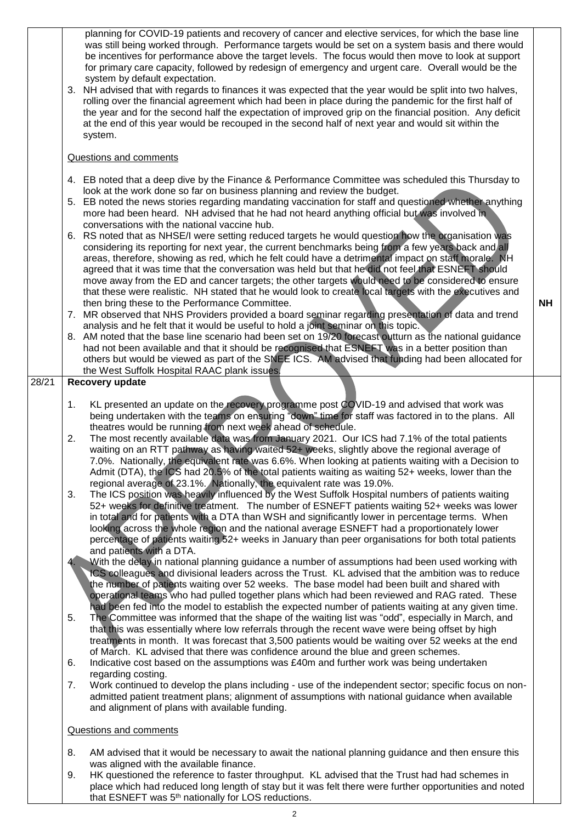|       |    | planning for COVID-19 patients and recovery of cancer and elective services, for which the base line<br>was still being worked through. Performance targets would be set on a system basis and there would<br>be incentives for performance above the target levels. The focus would then move to look at support<br>for primary care capacity, followed by redesign of emergency and urgent care. Overall would be the<br>system by default expectation.<br>3. NH advised that with regards to finances it was expected that the year would be split into two halves,<br>rolling over the financial agreement which had been in place during the pandemic for the first half of<br>the year and for the second half the expectation of improved grip on the financial position. Any deficit<br>at the end of this year would be recouped in the second half of next year and would sit within the<br>system. |           |
|-------|----|---------------------------------------------------------------------------------------------------------------------------------------------------------------------------------------------------------------------------------------------------------------------------------------------------------------------------------------------------------------------------------------------------------------------------------------------------------------------------------------------------------------------------------------------------------------------------------------------------------------------------------------------------------------------------------------------------------------------------------------------------------------------------------------------------------------------------------------------------------------------------------------------------------------|-----------|
|       |    | Questions and comments                                                                                                                                                                                                                                                                                                                                                                                                                                                                                                                                                                                                                                                                                                                                                                                                                                                                                        |           |
|       |    | 4. EB noted that a deep dive by the Finance & Performance Committee was scheduled this Thursday to<br>look at the work done so far on business planning and review the budget.<br>5. EB noted the news stories regarding mandating vaccination for staff and questioned whether anything<br>more had been heard. NH advised that he had not heard anything official but was involved in<br>conversations with the national vaccine hub.                                                                                                                                                                                                                                                                                                                                                                                                                                                                       |           |
|       |    | 6. RS noted that as NHSE/I were setting reduced targets he would question how the organisation was<br>considering its reporting for next year, the current benchmarks being from a few years back and all<br>areas, therefore, showing as red, which he felt could have a detrimental impact on staff morale. NH<br>agreed that it was time that the conversation was held but that he did not feel that ESNEFT should<br>move away from the ED and cancer targets; the other targets would need to be considered to ensure<br>that these were realistic. NH stated that he would look to create local targets with the executives and<br>then bring these to the Performance Committee.                                                                                                                                                                                                                      | <b>NH</b> |
|       |    | 7. MR observed that NHS Providers provided a board seminar regarding presentation of data and trend<br>analysis and he felt that it would be useful to hold a joint seminar on this topic.                                                                                                                                                                                                                                                                                                                                                                                                                                                                                                                                                                                                                                                                                                                    |           |
|       |    | 8. AM noted that the base line scenario had been set on 19/20 forecast outturn as the national guidance<br>had not been available and that it should be recognised that ESNEFT was in a better position than<br>others but would be viewed as part of the SNEE ICS. AM advised that funding had been allocated for<br>the West Suffolk Hospital RAAC plank issues.                                                                                                                                                                                                                                                                                                                                                                                                                                                                                                                                            |           |
| 28/21 |    | Recovery update                                                                                                                                                                                                                                                                                                                                                                                                                                                                                                                                                                                                                                                                                                                                                                                                                                                                                               |           |
|       | 1. | KL presented an update on the recovery programme post COVID-19 and advised that work was<br>being undertaken with the teams on ensuring "down" time for staff was factored in to the plans. All                                                                                                                                                                                                                                                                                                                                                                                                                                                                                                                                                                                                                                                                                                               |           |
|       | 2. | theatres would be running from next week ahead of schedule.<br>The most recently available data was from January 2021. Our ICS had 7.1% of the total patients<br>waiting on an RTT pathway as having waited 52+ weeks, slightly above the regional average of<br>7.0%. Nationally, the equivalent rate was 6.6%. When looking at patients waiting with a Decision to<br>Admit (DTA), the ICS had 20.5% of the total patients waiting as waiting 52+ weeks, lower than the                                                                                                                                                                                                                                                                                                                                                                                                                                     |           |
|       | 3. | regional average of 23.1%. Nationally, the equivalent rate was 19.0%.<br>The ICS position was heavily influenced by the West Suffolk Hospital numbers of patients waiting<br>52+ weeks for definitive treatment. The number of ESNEFT patients waiting 52+ weeks was lower<br>in total and for patients with a DTA than WSH and significantly lower in percentage terms. When<br>looking across the whole region and the national average ESNEFT had a proportionately lower<br>percentage of patients waiting 52+ weeks in January than peer organisations for both total patients<br>and patients with a DTA.                                                                                                                                                                                                                                                                                               |           |
|       |    | With the delay in national planning guidance a number of assumptions had been used working with<br>ICS colleagues and divisional leaders across the Trust. KL advised that the ambition was to reduce<br>the number of patients waiting over 52 weeks. The base model had been built and shared with<br>operational teams who had pulled together plans which had been reviewed and RAG rated. These<br>had been fed into the model to establish the expected number of patients waiting at any given time.                                                                                                                                                                                                                                                                                                                                                                                                   |           |
|       | 5. | The Committee was informed that the shape of the waiting list was "odd", especially in March, and<br>that this was essentially where low referrals through the recent wave were being offset by high<br>treatments in month. It was forecast that 3,500 patients would be waiting over 52 weeks at the end<br>of March. KL advised that there was confidence around the blue and green schemes.                                                                                                                                                                                                                                                                                                                                                                                                                                                                                                               |           |
|       | 6. | Indicative cost based on the assumptions was £40m and further work was being undertaken                                                                                                                                                                                                                                                                                                                                                                                                                                                                                                                                                                                                                                                                                                                                                                                                                       |           |
|       | 7. | regarding costing.<br>Work continued to develop the plans including - use of the independent sector; specific focus on non-<br>admitted patient treatment plans; alignment of assumptions with national guidance when available<br>and alignment of plans with available funding.                                                                                                                                                                                                                                                                                                                                                                                                                                                                                                                                                                                                                             |           |
|       |    | Questions and comments                                                                                                                                                                                                                                                                                                                                                                                                                                                                                                                                                                                                                                                                                                                                                                                                                                                                                        |           |
|       | 8. | AM advised that it would be necessary to await the national planning guidance and then ensure this<br>was aligned with the available finance.                                                                                                                                                                                                                                                                                                                                                                                                                                                                                                                                                                                                                                                                                                                                                                 |           |
|       | 9. | HK questioned the reference to faster throughput. KL advised that the Trust had had schemes in                                                                                                                                                                                                                                                                                                                                                                                                                                                                                                                                                                                                                                                                                                                                                                                                                |           |

place which had reduced long length of stay but it was felt there were further opportunities and noted that ESNEFT was 5<sup>th</sup> nationally for LOS reductions.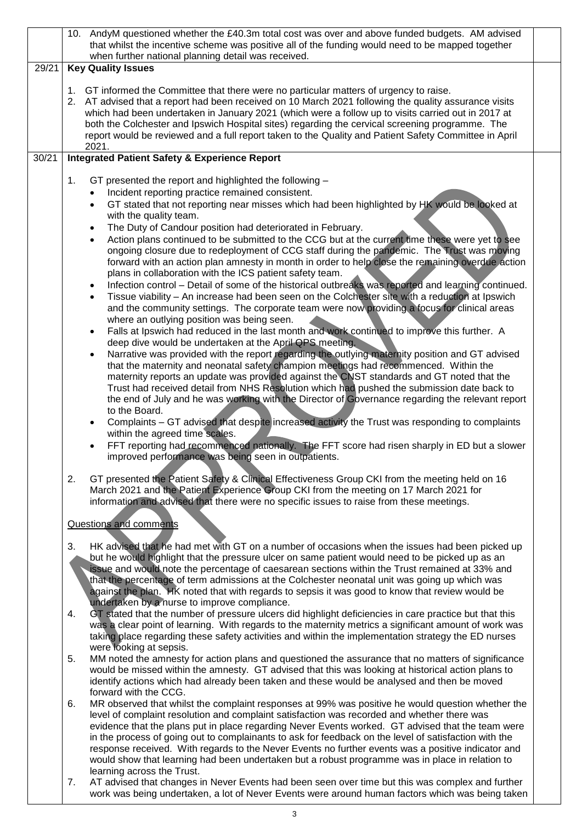|       | 10. AndyM questioned whether the £40.3m total cost was over and above funded budgets. AM advised<br>that whilst the incentive scheme was positive all of the funding would need to be mapped together<br>when further national planning detail was received.                                                                                                                                                                                                                                                                                                                                                                                                                                                                                                                                                                                                                                                                                                                                                                                                                                                                                                                                                                                                                                                                                                                                                                                                                                                                                                                                                                                                                                                                                                                                                                                                                                                                                                      |  |
|-------|-------------------------------------------------------------------------------------------------------------------------------------------------------------------------------------------------------------------------------------------------------------------------------------------------------------------------------------------------------------------------------------------------------------------------------------------------------------------------------------------------------------------------------------------------------------------------------------------------------------------------------------------------------------------------------------------------------------------------------------------------------------------------------------------------------------------------------------------------------------------------------------------------------------------------------------------------------------------------------------------------------------------------------------------------------------------------------------------------------------------------------------------------------------------------------------------------------------------------------------------------------------------------------------------------------------------------------------------------------------------------------------------------------------------------------------------------------------------------------------------------------------------------------------------------------------------------------------------------------------------------------------------------------------------------------------------------------------------------------------------------------------------------------------------------------------------------------------------------------------------------------------------------------------------------------------------------------------------|--|
| 29/21 | <b>Key Quality Issues</b>                                                                                                                                                                                                                                                                                                                                                                                                                                                                                                                                                                                                                                                                                                                                                                                                                                                                                                                                                                                                                                                                                                                                                                                                                                                                                                                                                                                                                                                                                                                                                                                                                                                                                                                                                                                                                                                                                                                                         |  |
|       | GT informed the Committee that there were no particular matters of urgency to raise.<br>1.<br>2. AT advised that a report had been received on 10 March 2021 following the quality assurance visits<br>which had been undertaken in January 2021 (which were a follow up to visits carried out in 2017 at<br>both the Colchester and Ipswich Hospital sites) regarding the cervical screening programme. The<br>report would be reviewed and a full report taken to the Quality and Patient Safety Committee in April<br>2021.                                                                                                                                                                                                                                                                                                                                                                                                                                                                                                                                                                                                                                                                                                                                                                                                                                                                                                                                                                                                                                                                                                                                                                                                                                                                                                                                                                                                                                    |  |
| 30/21 | <b>Integrated Patient Safety &amp; Experience Report</b>                                                                                                                                                                                                                                                                                                                                                                                                                                                                                                                                                                                                                                                                                                                                                                                                                                                                                                                                                                                                                                                                                                                                                                                                                                                                                                                                                                                                                                                                                                                                                                                                                                                                                                                                                                                                                                                                                                          |  |
|       | 1.<br>GT presented the report and highlighted the following -<br>Incident reporting practice remained consistent.<br>$\bullet$<br>GT stated that not reporting near misses which had been highlighted by HK would be looked at<br>$\bullet$<br>with the quality team.<br>The Duty of Candour position had deteriorated in February.<br>$\bullet$<br>Action plans continued to be submitted to the CCG but at the current time these were yet to see<br>$\bullet$<br>ongoing closure due to redeployment of CCG staff during the pandemic. The Trust was moving<br>forward with an action plan amnesty in month in order to help close the remaining overdue action<br>plans in collaboration with the ICS patient safety team.<br>Infection control – Detail of some of the historical outbreaks was reported and learning continued.<br>$\bullet$<br>Tissue viability - An increase had been seen on the Colchester site with a reduction at Ipswich<br>$\bullet$<br>and the community settings. The corporate team were now providing a focus for clinical areas<br>where an outlying position was being seen.<br>Falls at Ipswich had reduced in the last month and work continued to improve this further. A<br>$\bullet$<br>deep dive would be undertaken at the April QPS meeting.<br>Narrative was provided with the report regarding the outlying maternity position and GT advised<br>$\bullet$<br>that the maternity and neonatal safety champion meetings had recommenced. Within the<br>maternity reports an update was provided against the CNST standards and GT noted that the<br>Trust had received detail from NHS Resolution which had pushed the submission date back to<br>the end of July and he was working with the Director of Governance regarding the relevant report<br>to the Board.<br>Complaints - GT advised that despite increased activity the Trust was responding to complaints<br>$\bullet$<br>within the agreed time scales. |  |
|       | FFT reporting had recommenced nationally. The FFT score had risen sharply in ED but a slower<br>$\bullet$<br>improved performance was being seen in outpatients.<br>2.<br>GT presented the Patient Safety & Clinical Effectiveness Group CKI from the meeting held on 16<br>March 2021 and the Patient Experience Group CKI from the meeting on 17 March 2021 for                                                                                                                                                                                                                                                                                                                                                                                                                                                                                                                                                                                                                                                                                                                                                                                                                                                                                                                                                                                                                                                                                                                                                                                                                                                                                                                                                                                                                                                                                                                                                                                                 |  |
|       | information and advised that there were no specific issues to raise from these meetings.<br>Questions and comments                                                                                                                                                                                                                                                                                                                                                                                                                                                                                                                                                                                                                                                                                                                                                                                                                                                                                                                                                                                                                                                                                                                                                                                                                                                                                                                                                                                                                                                                                                                                                                                                                                                                                                                                                                                                                                                |  |
|       | HK advised that he had met with GT on a number of occasions when the issues had been picked up<br>3.<br>but he would highlight that the pressure ulcer on same patient would need to be picked up as an<br>issue and would note the percentage of caesarean sections within the Trust remained at 33% and<br>that the percentage of term admissions at the Colchester neonatal unit was going up which was<br>against the plan. HK noted that with regards to sepsis it was good to know that review would be<br>undertaken by a nurse to improve compliance.                                                                                                                                                                                                                                                                                                                                                                                                                                                                                                                                                                                                                                                                                                                                                                                                                                                                                                                                                                                                                                                                                                                                                                                                                                                                                                                                                                                                     |  |
|       | GT stated that the number of pressure ulcers did highlight deficiencies in care practice but that this<br>4.<br>was a clear point of learning. With regards to the maternity metrics a significant amount of work was<br>taking place regarding these safety activities and within the implementation strategy the ED nurses<br>were looking at sepsis.                                                                                                                                                                                                                                                                                                                                                                                                                                                                                                                                                                                                                                                                                                                                                                                                                                                                                                                                                                                                                                                                                                                                                                                                                                                                                                                                                                                                                                                                                                                                                                                                           |  |
|       | 5.<br>MM noted the amnesty for action plans and questioned the assurance that no matters of significance<br>would be missed within the amnesty. GT advised that this was looking at historical action plans to<br>identify actions which had already been taken and these would be analysed and then be moved<br>forward with the CCG.                                                                                                                                                                                                                                                                                                                                                                                                                                                                                                                                                                                                                                                                                                                                                                                                                                                                                                                                                                                                                                                                                                                                                                                                                                                                                                                                                                                                                                                                                                                                                                                                                            |  |
|       | MR observed that whilst the complaint responses at 99% was positive he would question whether the<br>6.<br>level of complaint resolution and complaint satisfaction was recorded and whether there was<br>evidence that the plans put in place regarding Never Events worked. GT advised that the team were<br>in the process of going out to complainants to ask for feedback on the level of satisfaction with the<br>response received. With regards to the Never Events no further events was a positive indicator and<br>would show that learning had been undertaken but a robust programme was in place in relation to                                                                                                                                                                                                                                                                                                                                                                                                                                                                                                                                                                                                                                                                                                                                                                                                                                                                                                                                                                                                                                                                                                                                                                                                                                                                                                                                     |  |

learning across the Trust. 7. AT advised that changes in Never Events had been seen over time but this was complex and further work was being undertaken, a lot of Never Events were around human factors which was being taken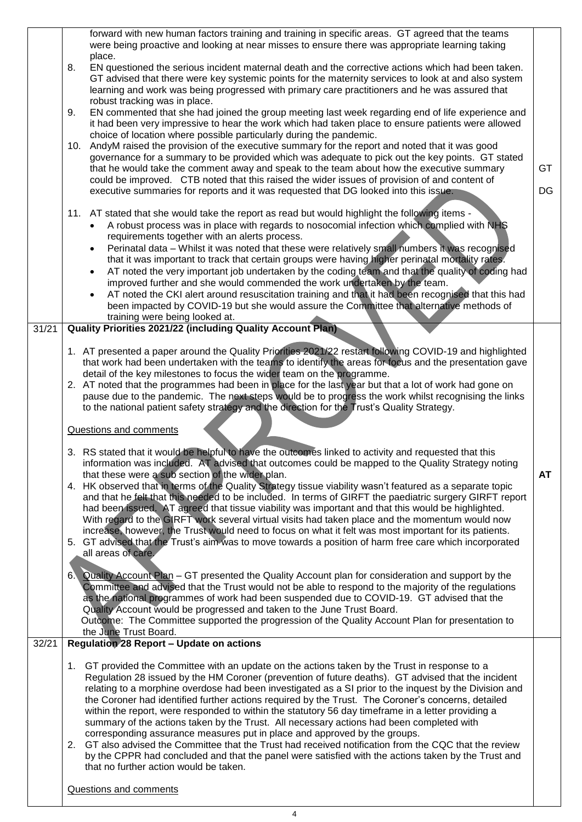|       | forward with new human factors training and training in specific areas. GT agreed that the teams<br>were being proactive and looking at near misses to ensure there was appropriate learning taking<br>place.<br>EN questioned the serious incident maternal death and the corrective actions which had been taken.<br>8.<br>GT advised that there were key systemic points for the maternity services to look at and also system<br>learning and work was being progressed with primary care practitioners and he was assured that<br>robust tracking was in place.<br>EN commented that she had joined the group meeting last week regarding end of life experience and<br>9.<br>it had been very impressive to hear the work which had taken place to ensure patients were allowed<br>choice of location where possible particularly during the pandemic.<br>AndyM raised the provision of the executive summary for the report and noted that it was good<br>10.<br>governance for a summary to be provided which was adequate to pick out the key points. GT stated<br>that he would take the comment away and speak to the team about how the executive summary<br>could be improved. CTB noted that this raised the wider issues of provision of and content of<br>executive summaries for reports and it was requested that DG looked into this issue. | <b>GT</b><br>DG |
|-------|----------------------------------------------------------------------------------------------------------------------------------------------------------------------------------------------------------------------------------------------------------------------------------------------------------------------------------------------------------------------------------------------------------------------------------------------------------------------------------------------------------------------------------------------------------------------------------------------------------------------------------------------------------------------------------------------------------------------------------------------------------------------------------------------------------------------------------------------------------------------------------------------------------------------------------------------------------------------------------------------------------------------------------------------------------------------------------------------------------------------------------------------------------------------------------------------------------------------------------------------------------------------------------------------------------------------------------------------------------------|-----------------|
|       | 11. AT stated that she would take the report as read but would highlight the following items -<br>A robust process was in place with regards to nosocomial infection which complied with NHS<br>requirements together with an alerts process.<br>Perinatal data – Whilst it was noted that these were relatively small numbers it was recognised<br>that it was important to track that certain groups were having higher perinatal mortality rates.<br>AT noted the very important job undertaken by the coding team and that the quality of coding had<br>improved further and she would commended the work undertaken by the team.<br>AT noted the CKI alert around resuscitation training and that it had been recognised that this had<br>been impacted by COVID-19 but she would assure the Committee that alternative methods of<br>training were being looked at.                                                                                                                                                                                                                                                                                                                                                                                                                                                                                      |                 |
| 31/21 | <b>Quality Priorities 2021/22 (including Quality Account Plan)</b>                                                                                                                                                                                                                                                                                                                                                                                                                                                                                                                                                                                                                                                                                                                                                                                                                                                                                                                                                                                                                                                                                                                                                                                                                                                                                             |                 |
|       | 1. AT presented a paper around the Quality Priorities 2021/22 restart following COVID-19 and highlighted<br>that work had been undertaken with the teams to identify the areas for focus and the presentation gave<br>detail of the key milestones to focus the wider team on the programme.<br>2. AT noted that the programmes had been in place for the last year but that a lot of work had gone on<br>pause due to the pandemic. The next steps would be to progress the work whilst recognising the links<br>to the national patient safety strategy and the direction for the Trust's Quality Strategy.<br>Questions and comments                                                                                                                                                                                                                                                                                                                                                                                                                                                                                                                                                                                                                                                                                                                        |                 |
|       | 3. RS stated that it would be helpful to have the outcomes linked to activity and requested that this                                                                                                                                                                                                                                                                                                                                                                                                                                                                                                                                                                                                                                                                                                                                                                                                                                                                                                                                                                                                                                                                                                                                                                                                                                                          |                 |
|       | information was included. AT advised that outcomes could be mapped to the Quality Strategy noting<br>that these were a sub section of the wider plan.<br>4. HK observed that in terms of the Quality Strategy tissue viability wasn't featured as a separate topic<br>and that he felt that this needed to be included. In terms of GIRFT the paediatric surgery GIRFT report<br>had been issued. AT agreed that tissue viability was important and that this would be highlighted.<br>With regard to the GIRFT work several virtual visits had taken place and the momentum would now<br>increase, however, the Trust would need to focus on what it felt was most important for its patients.<br>5. GT advised that the Trust's aim was to move towards a position of harm free care which incorporated<br>all areas of care.                                                                                                                                                                                                                                                                                                                                                                                                                                                                                                                                | <b>AT</b>       |
|       | Quality Account Plan – GT presented the Quality Account plan for consideration and support by the<br>6 <sub>1</sub><br>Committee and advised that the Trust would not be able to respond to the majority of the regulations<br>as the national programmes of work had been suspended due to COVID-19. GT advised that the<br>Quality Account would be progressed and taken to the June Trust Board.<br>Outcome: The Committee supported the progression of the Quality Account Plan for presentation to<br>the June Trust Board.                                                                                                                                                                                                                                                                                                                                                                                                                                                                                                                                                                                                                                                                                                                                                                                                                               |                 |
| 32/21 | <b>Regulation 28 Report - Update on actions</b>                                                                                                                                                                                                                                                                                                                                                                                                                                                                                                                                                                                                                                                                                                                                                                                                                                                                                                                                                                                                                                                                                                                                                                                                                                                                                                                |                 |
|       | 1. GT provided the Committee with an update on the actions taken by the Trust in response to a<br>Regulation 28 issued by the HM Coroner (prevention of future deaths). GT advised that the incident<br>relating to a morphine overdose had been investigated as a SI prior to the inquest by the Division and<br>the Coroner had identified further actions required by the Trust. The Coroner's concerns, detailed<br>within the report, were responded to within the statutory 56 day timeframe in a letter providing a<br>summary of the actions taken by the Trust. All necessary actions had been completed with<br>corresponding assurance measures put in place and approved by the groups.<br>2. GT also advised the Committee that the Trust had received notification from the CQC that the review<br>by the CPPR had concluded and that the panel were satisfied with the actions taken by the Trust and<br>that no further action would be taken.                                                                                                                                                                                                                                                                                                                                                                                                 |                 |
|       | Questions and comments                                                                                                                                                                                                                                                                                                                                                                                                                                                                                                                                                                                                                                                                                                                                                                                                                                                                                                                                                                                                                                                                                                                                                                                                                                                                                                                                         |                 |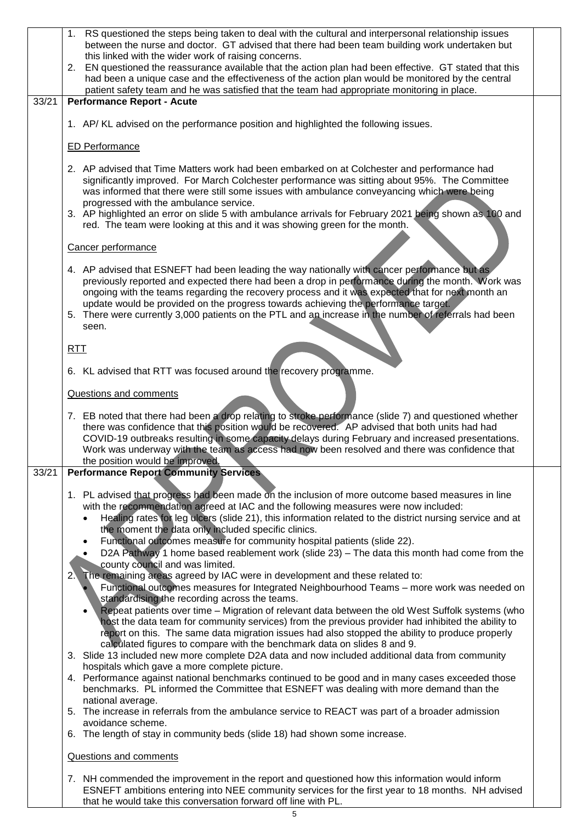|       | 1. RS questioned the steps being taken to deal with the cultural and interpersonal relationship issues<br>between the nurse and doctor. GT advised that there had been team building work undertaken but<br>this linked with the wider work of raising concerns.<br>2. EN questioned the reassurance available that the action plan had been effective. GT stated that this<br>had been a unique case and the effectiveness of the action plan would be monitored by the central<br>patient safety team and he was satisfied that the team had appropriate monitoring in place.                                                                             |  |
|-------|-------------------------------------------------------------------------------------------------------------------------------------------------------------------------------------------------------------------------------------------------------------------------------------------------------------------------------------------------------------------------------------------------------------------------------------------------------------------------------------------------------------------------------------------------------------------------------------------------------------------------------------------------------------|--|
| 33/21 | <b>Performance Report - Acute</b>                                                                                                                                                                                                                                                                                                                                                                                                                                                                                                                                                                                                                           |  |
|       | 1. AP/ KL advised on the performance position and highlighted the following issues.                                                                                                                                                                                                                                                                                                                                                                                                                                                                                                                                                                         |  |
|       | <b>ED Performance</b>                                                                                                                                                                                                                                                                                                                                                                                                                                                                                                                                                                                                                                       |  |
|       | 2. AP advised that Time Matters work had been embarked on at Colchester and performance had<br>significantly improved. For March Colchester performance was sitting about 95%. The Committee<br>was informed that there were still some issues with ambulance conveyancing which were being<br>progressed with the ambulance service.<br>3. AP highlighted an error on slide 5 with ambulance arrivals for February 2021 being shown as 100 and<br>red. The team were looking at this and it was showing green for the month.                                                                                                                               |  |
|       | Cancer performance                                                                                                                                                                                                                                                                                                                                                                                                                                                                                                                                                                                                                                          |  |
|       | 4. AP advised that ESNEFT had been leading the way nationally with cancer performance but as<br>previously reported and expected there had been a drop in performance during the month. Work was<br>ongoing with the teams regarding the recovery process and it was expected that for next month an<br>update would be provided on the progress towards achieving the performance target.<br>5. There were currently 3,000 patients on the PTL and an increase in the number of referrals had been<br>seen.                                                                                                                                                |  |
|       | RTI                                                                                                                                                                                                                                                                                                                                                                                                                                                                                                                                                                                                                                                         |  |
|       | 6. KL advised that RTT was focused around the recovery programme.                                                                                                                                                                                                                                                                                                                                                                                                                                                                                                                                                                                           |  |
|       | Questions and comments                                                                                                                                                                                                                                                                                                                                                                                                                                                                                                                                                                                                                                      |  |
|       | 7. EB noted that there had been a drop relating to stroke performance (slide 7) and questioned whether<br>there was confidence that this position would be recovered. AP advised that both units had had<br>COVID-19 outbreaks resulting in some capacity delays during February and increased presentations.<br>Work was underway with the team as access had now been resolved and there was confidence that<br>the position would be improved.                                                                                                                                                                                                           |  |
| 33/21 | <b>Performance Report Community Services</b>                                                                                                                                                                                                                                                                                                                                                                                                                                                                                                                                                                                                                |  |
|       | 1. PL advised that progress had been made on the inclusion of more outcome based measures in line<br>with the recommendation agreed at IAC and the following measures were now included:<br>Healing rates for leg ulcers (slide 21), this information related to the district nursing service and at<br>the moment the data only included specific clinics.<br>Functional outcomes measure for community hospital patients (slide 22).<br>D2A Pathway 1 home based reablement work (slide 23) – The data this month had come from the                                                                                                                       |  |
|       | county council and was limited.<br>The remaining areas agreed by IAC were in development and these related to:<br>2.<br>Functional outcomes measures for Integrated Neighbourhood Teams - more work was needed on<br>standardising the recording across the teams.<br>Repeat patients over time - Migration of relevant data between the old West Suffolk systems (who<br>host the data team for community services) from the previous provider had inhibited the ability to<br>report on this. The same data migration issues had also stopped the ability to produce properly<br>calculated figures to compare with the benchmark data on slides 8 and 9. |  |
|       | 3. Slide 13 included new more complete D2A data and now included additional data from community<br>hospitals which gave a more complete picture.<br>4. Performance against national benchmarks continued to be good and in many cases exceeded those<br>benchmarks. PL informed the Committee that ESNEFT was dealing with more demand than the<br>national average.<br>5. The increase in referrals from the ambulance service to REACT was part of a broader admission                                                                                                                                                                                    |  |
|       | avoidance scheme.<br>The length of stay in community beds (slide 18) had shown some increase.<br>6.                                                                                                                                                                                                                                                                                                                                                                                                                                                                                                                                                         |  |
|       | Questions and comments                                                                                                                                                                                                                                                                                                                                                                                                                                                                                                                                                                                                                                      |  |
|       | 7. NH commended the improvement in the report and questioned how this information would inform<br>ESNEFT ambitions entering into NEE community services for the first year to 18 months. NH advised                                                                                                                                                                                                                                                                                                                                                                                                                                                         |  |

that he would take this conversation forward off line with PL.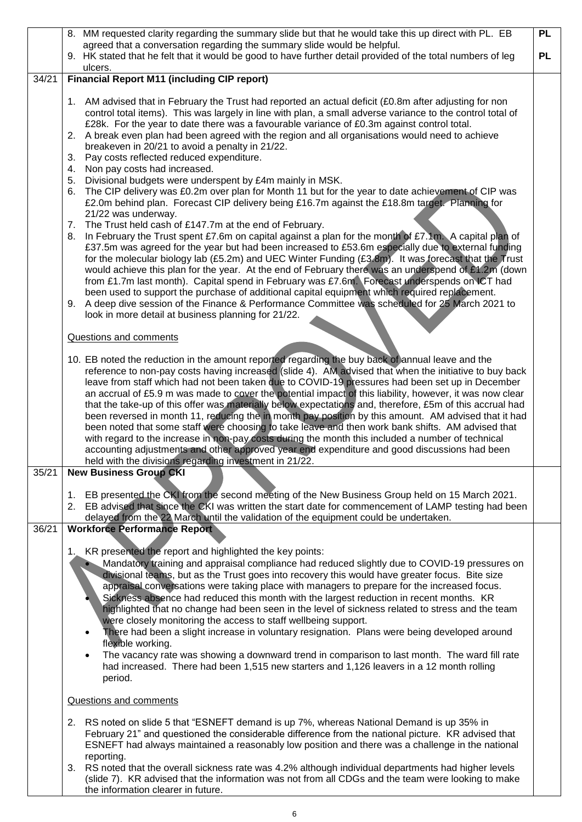|       | 8. MM requested clarity regarding the summary slide but that he would take this up direct with PL. EB                                                                                                                                                                                                                                                                                                                                                                                                                                                                                                                                                                                                                                                                                                                                                                                                                                                                                                                                                                                                         | <b>PL</b> |
|-------|---------------------------------------------------------------------------------------------------------------------------------------------------------------------------------------------------------------------------------------------------------------------------------------------------------------------------------------------------------------------------------------------------------------------------------------------------------------------------------------------------------------------------------------------------------------------------------------------------------------------------------------------------------------------------------------------------------------------------------------------------------------------------------------------------------------------------------------------------------------------------------------------------------------------------------------------------------------------------------------------------------------------------------------------------------------------------------------------------------------|-----------|
|       | agreed that a conversation regarding the summary slide would be helpful.<br>9. HK stated that he felt that it would be good to have further detail provided of the total numbers of leg                                                                                                                                                                                                                                                                                                                                                                                                                                                                                                                                                                                                                                                                                                                                                                                                                                                                                                                       | <b>PL</b> |
|       | ulcers.                                                                                                                                                                                                                                                                                                                                                                                                                                                                                                                                                                                                                                                                                                                                                                                                                                                                                                                                                                                                                                                                                                       |           |
| 34/21 | <b>Financial Report M11 (including CIP report)</b>                                                                                                                                                                                                                                                                                                                                                                                                                                                                                                                                                                                                                                                                                                                                                                                                                                                                                                                                                                                                                                                            |           |
|       | 1. AM advised that in February the Trust had reported an actual deficit (£0.8m after adjusting for non<br>control total items). This was largely in line with plan, a small adverse variance to the control total of<br>£28k. For the year to date there was a favourable variance of £0.3m against control total.<br>A break even plan had been agreed with the region and all organisations would need to achieve<br>2.<br>breakeven in 20/21 to avoid a penalty in 21/22.<br>Pay costs reflected reduced expenditure.<br>3.<br>Non pay costs had increased.<br>4.                                                                                                                                                                                                                                                                                                                                                                                                                                                                                                                                          |           |
|       | Divisional budgets were underspent by £4m mainly in MSK.<br>5.<br>The CIP delivery was £0.2m over plan for Month 11 but for the year to date achievement of CIP was<br>6.<br>£2.0m behind plan. Forecast CIP delivery being £16.7m against the £18.8m target. Planning for<br>21/22 was underway.<br>The Trust held cash of £147.7m at the end of February.<br>7.<br>In February the Trust spent £7.6m on capital against a plan for the month of £7.1m. A capital plan of<br>8.<br>£37.5m was agreed for the year but had been increased to £53.6m especially due to external funding<br>for the molecular biology lab (£5.2m) and UEC Winter Funding (£3.8m). It was forecast that the Trust<br>would achieve this plan for the year. At the end of February there was an underspend of £1.2m (down<br>from £1.7m last month). Capital spend in February was £7.6m. Forecast underspends on ICT had<br>been used to support the purchase of additional capital equipment which required replacement.<br>A deep dive session of the Finance & Performance Committee was scheduled for 25 March 2021 to<br>9. |           |
|       | look in more detail at business planning for 21/22.<br>Questions and comments                                                                                                                                                                                                                                                                                                                                                                                                                                                                                                                                                                                                                                                                                                                                                                                                                                                                                                                                                                                                                                 |           |
|       | 10. EB noted the reduction in the amount reported regarding the buy back of annual leave and the<br>reference to non-pay costs having increased (slide 4). AM advised that when the initiative to buy back<br>leave from staff which had not been taken due to COVID-19 pressures had been set up in December<br>an accrual of £5.9 m was made to cover the potential impact of this liability, however, it was now clear<br>that the take-up of this offer was materially below expectations and, therefore, £5m of this accrual had<br>been reversed in month 11, reducing the in month pay position by this amount. AM advised that it had<br>been noted that some staff were choosing to take leave and then work bank shifts. AM advised that<br>with regard to the increase in non-pay costs during the month this included a number of technical<br>accounting adjustments and other approved year end expenditure and good discussions had been<br>held with the divisions regarding investment in 21/22.                                                                                             |           |
| 35/21 | <b>New Business Group CKI</b>                                                                                                                                                                                                                                                                                                                                                                                                                                                                                                                                                                                                                                                                                                                                                                                                                                                                                                                                                                                                                                                                                 |           |
|       | 1. EB presented the CKI from the second meeting of the New Business Group held on 15 March 2021.<br>2. EB advised that since the CKI was written the start date for commencement of LAMP testing had been<br>delayed from the 22 March until the validation of the equipment could be undertaken.                                                                                                                                                                                                                                                                                                                                                                                                                                                                                                                                                                                                                                                                                                                                                                                                             |           |
| 36/21 | <b>Workforce Performance Report</b>                                                                                                                                                                                                                                                                                                                                                                                                                                                                                                                                                                                                                                                                                                                                                                                                                                                                                                                                                                                                                                                                           |           |
|       | 1. KR presented the report and highlighted the key points:<br>Mandatory training and appraisal compliance had reduced slightly due to COVID-19 pressures on<br>divisional teams, but as the Trust goes into recovery this would have greater focus. Bite size<br>appraisal conversations were taking place with managers to prepare for the increased focus.<br>Sickness absence had reduced this month with the largest reduction in recent months. KR<br>highlighted that no change had been seen in the level of sickness related to stress and the team<br>were closely monitoring the access to staff wellbeing support.<br>There had been a slight increase in voluntary resignation. Plans were being developed around<br>$\bullet$<br>flexible working.<br>The vacancy rate was showing a downward trend in comparison to last month. The ward fill rate<br>$\bullet$<br>had increased. There had been 1,515 new starters and 1,126 leavers in a 12 month rolling<br>period.                                                                                                                          |           |
|       | Questions and comments                                                                                                                                                                                                                                                                                                                                                                                                                                                                                                                                                                                                                                                                                                                                                                                                                                                                                                                                                                                                                                                                                        |           |
|       | RS noted on slide 5 that "ESNEFT demand is up 7%, whereas National Demand is up 35% in<br>2.<br>February 21" and questioned the considerable difference from the national picture. KR advised that<br>ESNEFT had always maintained a reasonably low position and there was a challenge in the national<br>reporting.<br>RS noted that the overall sickness rate was 4.2% although individual departments had higher levels<br>3.<br>(slide 7). KR advised that the information was not from all CDGs and the team were looking to make<br>the information clearer in future.                                                                                                                                                                                                                                                                                                                                                                                                                                                                                                                                  |           |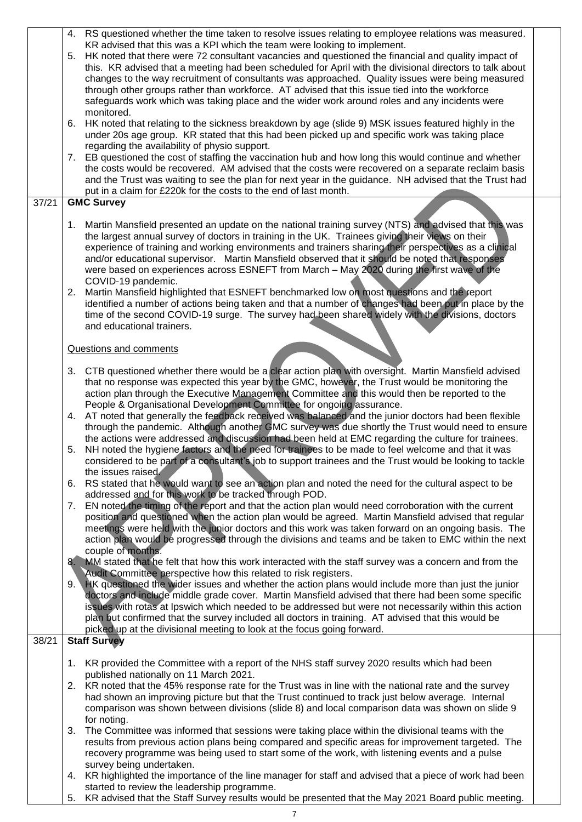|       | 4. RS questioned whether the time taken to resolve issues relating to employee relations was measured.<br>KR advised that this was a KPI which the team were looking to implement.<br>5. HK noted that there were 72 consultant vacancies and questioned the financial and quality impact of                                                                                                                                                                                                                                                                                                                                                                                                 |  |
|-------|----------------------------------------------------------------------------------------------------------------------------------------------------------------------------------------------------------------------------------------------------------------------------------------------------------------------------------------------------------------------------------------------------------------------------------------------------------------------------------------------------------------------------------------------------------------------------------------------------------------------------------------------------------------------------------------------|--|
|       | this. KR advised that a meeting had been scheduled for April with the divisional directors to talk about<br>changes to the way recruitment of consultants was approached. Quality issues were being measured<br>through other groups rather than workforce. AT advised that this issue tied into the workforce<br>safeguards work which was taking place and the wider work around roles and any incidents were<br>monitored.                                                                                                                                                                                                                                                                |  |
|       | HK noted that relating to the sickness breakdown by age (slide 9) MSK issues featured highly in the<br>6.<br>under 20s age group. KR stated that this had been picked up and specific work was taking place                                                                                                                                                                                                                                                                                                                                                                                                                                                                                  |  |
|       | regarding the availability of physio support.<br>7. EB questioned the cost of staffing the vaccination hub and how long this would continue and whether<br>the costs would be recovered. AM advised that the costs were recovered on a separate reclaim basis<br>and the Trust was waiting to see the plan for next year in the guidance. NH advised that the Trust had<br>put in a claim for £220k for the costs to the end of last month.                                                                                                                                                                                                                                                  |  |
| 37/21 | <b>GMC Survey</b>                                                                                                                                                                                                                                                                                                                                                                                                                                                                                                                                                                                                                                                                            |  |
|       | Martin Mansfield presented an update on the national training survey (NTS) and advised that this was<br>1.<br>the largest annual survey of doctors in training in the UK. Trainees giving their views on their<br>experience of training and working environments and trainers sharing their perspectives as a clinical<br>and/or educational supervisor. Martin Mansfield observed that it should be noted that responses<br>were based on experiences across ESNEFT from March - May 2020 during the first wave of the<br>COVID-19 pandemic.                                                                                                                                               |  |
|       | Martin Mansfield highlighted that ESNEFT benchmarked low on most questions and the report<br>2.<br>identified a number of actions being taken and that a number of changes had been put in place by the<br>time of the second COVID-19 surge. The survey had been shared widely with the divisions, doctors<br>and educational trainers.                                                                                                                                                                                                                                                                                                                                                     |  |
|       | Questions and comments                                                                                                                                                                                                                                                                                                                                                                                                                                                                                                                                                                                                                                                                       |  |
|       | CTB questioned whether there would be a clear action plan with oversight. Martin Mansfield advised<br>3.<br>that no response was expected this year by the GMC, however, the Trust would be monitoring the<br>action plan through the Executive Management Committee and this would then be reported to the<br>People & Organisational Development Committee for ongoing assurance.                                                                                                                                                                                                                                                                                                          |  |
|       | 4. AT noted that generally the feedback received was balanced and the junior doctors had been flexible<br>through the pandemic. Although another GMC survey was due shortly the Trust would need to ensure<br>the actions were addressed and discussion had been held at EMC regarding the culture for trainees.                                                                                                                                                                                                                                                                                                                                                                             |  |
|       | NH noted the hygiene factors and the need for trainees to be made to feel welcome and that it was<br>5.<br>considered to be part of a consultant's job to support trainees and the Trust would be looking to tackle<br>the issues raised.                                                                                                                                                                                                                                                                                                                                                                                                                                                    |  |
|       | 6. RS stated that he would want to see an action plan and noted the need for the cultural aspect to be<br>addressed and for this work to be tracked through POD.<br>EN noted the timing of the report and that the action plan would need corroboration with the current<br>7.                                                                                                                                                                                                                                                                                                                                                                                                               |  |
|       | position and questioned when the action plan would be agreed. Martin Mansfield advised that regular<br>meetings were held with the junior doctors and this work was taken forward on an ongoing basis. The<br>action plan would be progressed through the divisions and teams and be taken to EMC within the next<br>couple of months.                                                                                                                                                                                                                                                                                                                                                       |  |
|       | MM stated that he felt that how this work interacted with the staff survey was a concern and from the<br>8.<br>Audit Committee perspective how this related to risk registers.<br>NK questioned the wider issues and whether the action plans would include more than just the junior<br>9.1<br>doctors and include middle grade cover. Martin Mansfield advised that there had been some specific<br>issues with rotas at Ipswich which needed to be addressed but were not necessarily within this action<br>plan but confirmed that the survey included all doctors in training. AT advised that this would be<br>picked up at the divisional meeting to look at the focus going forward. |  |
| 38/21 | <b>Staff Survey</b>                                                                                                                                                                                                                                                                                                                                                                                                                                                                                                                                                                                                                                                                          |  |
|       | 1. KR provided the Committee with a report of the NHS staff survey 2020 results which had been                                                                                                                                                                                                                                                                                                                                                                                                                                                                                                                                                                                               |  |
|       | published nationally on 11 March 2021.<br>2. KR noted that the 45% response rate for the Trust was in line with the national rate and the survey<br>had shown an improving picture but that the Trust continued to track just below average. Internal<br>comparison was shown between divisions (slide 8) and local comparison data was shown on slide 9                                                                                                                                                                                                                                                                                                                                     |  |
|       | for noting.<br>The Committee was informed that sessions were taking place within the divisional teams with the<br>3.<br>results from previous action plans being compared and specific areas for improvement targeted. The<br>recovery programme was being used to start some of the work, with listening events and a pulse                                                                                                                                                                                                                                                                                                                                                                 |  |
|       | survey being undertaken.<br>4. KR highlighted the importance of the line manager for staff and advised that a piece of work had been<br>started to review the leadership programme.                                                                                                                                                                                                                                                                                                                                                                                                                                                                                                          |  |

5. KR advised that the Staff Survey results would be presented that the May 2021 Board public meeting.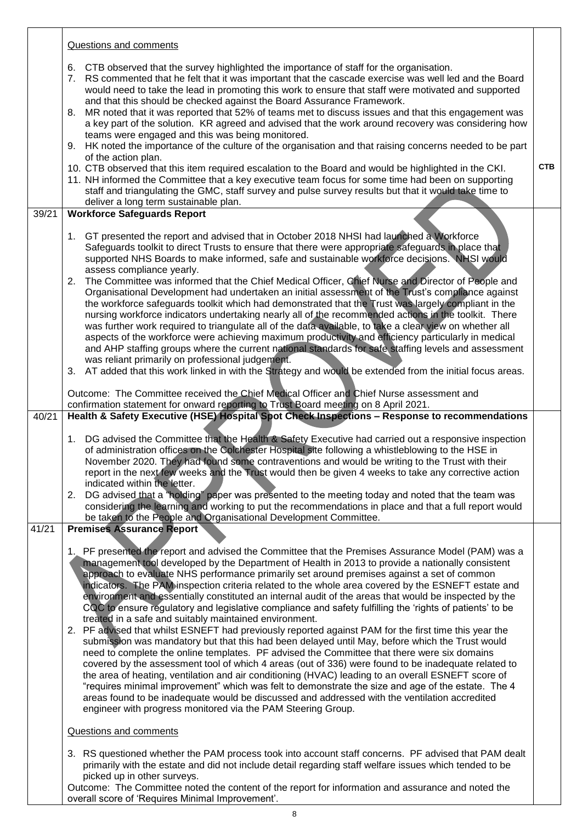|       | Questions and comments                                                                                                                                                                                                                                                                                                                                                                                                                                                                                                                                                                                                                                                                                                                                                                                                                                                                                                                                                                                                                                                                                                                                                                                                                                                                                                                                                                                                                                                                   |            |
|-------|------------------------------------------------------------------------------------------------------------------------------------------------------------------------------------------------------------------------------------------------------------------------------------------------------------------------------------------------------------------------------------------------------------------------------------------------------------------------------------------------------------------------------------------------------------------------------------------------------------------------------------------------------------------------------------------------------------------------------------------------------------------------------------------------------------------------------------------------------------------------------------------------------------------------------------------------------------------------------------------------------------------------------------------------------------------------------------------------------------------------------------------------------------------------------------------------------------------------------------------------------------------------------------------------------------------------------------------------------------------------------------------------------------------------------------------------------------------------------------------|------------|
|       | CTB observed that the survey highlighted the importance of staff for the organisation.<br>6.<br>RS commented that he felt that it was important that the cascade exercise was well led and the Board<br>7.<br>would need to take the lead in promoting this work to ensure that staff were motivated and supported<br>and that this should be checked against the Board Assurance Framework.<br>MR noted that it was reported that 52% of teams met to discuss issues and that this engagement was<br>8.<br>a key part of the solution. KR agreed and advised that the work around recovery was considering how<br>teams were engaged and this was being monitored.<br>9. HK noted the importance of the culture of the organisation and that raising concerns needed to be part<br>of the action plan.<br>10. CTB observed that this item required escalation to the Board and would be highlighted in the CKI.<br>11. NH informed the Committee that a key executive team focus for some time had been on supporting<br>staff and triangulating the GMC, staff survey and pulse survey results but that it would take time to<br>deliver a long term sustainable plan.                                                                                                                                                                                                                                                                                                                 | <b>CTB</b> |
| 39/21 | <b>Workforce Safeguards Report</b>                                                                                                                                                                                                                                                                                                                                                                                                                                                                                                                                                                                                                                                                                                                                                                                                                                                                                                                                                                                                                                                                                                                                                                                                                                                                                                                                                                                                                                                       |            |
|       | 1. GT presented the report and advised that in October 2018 NHSI had launched a Workforce<br>Safeguards toolkit to direct Trusts to ensure that there were appropriate safeguards in place that<br>supported NHS Boards to make informed, safe and sustainable workforce decisions. NHSI would<br>assess compliance yearly.<br>2. The Committee was informed that the Chief Medical Officer, Chief Nurse and Director of People and<br>Organisational Development had undertaken an initial assessment of the Trust's compliance against<br>the workforce safeguards toolkit which had demonstrated that the Trust was largely compliant in the<br>nursing workforce indicators undertaking nearly all of the recommended actions in the toolkit. There<br>was further work required to triangulate all of the data available, to take a clear view on whether all<br>aspects of the workforce were achieving maximum productivity and efficiency particularly in medical<br>and AHP staffing groups where the current national standards for safe staffing levels and assessment<br>was reliant primarily on professional judgement.<br>3. AT added that this work linked in with the Strategy and would be extended from the initial focus areas.<br>Outcome: The Committee received the Chief Medical Officer and Chief Nurse assessment and<br>confirmation statement for onward reporting to Trust Board meeting on 8 April 2021.                                                   |            |
| 40/21 | Health & Safety Executive (HSE) Hospital Spot Check Inspections - Response to recommendations                                                                                                                                                                                                                                                                                                                                                                                                                                                                                                                                                                                                                                                                                                                                                                                                                                                                                                                                                                                                                                                                                                                                                                                                                                                                                                                                                                                            |            |
|       | DG advised the Committee that the Health & Safety Executive had carried out a responsive inspection<br>1.<br>of administration offices on the Colchester Hospital site following a whistleblowing to the HSE in<br>November 2020. They had found some contraventions and would be writing to the Trust with their<br>report in the next few weeks and the Trust would then be given 4 weeks to take any corrective action<br>indicated within the letter.<br>2. DG advised that a "holding" paper was presented to the meeting today and noted that the team was<br>considering the learning and working to put the recommendations in place and that a full report would<br>be taken to the People and Organisational Development Committee.                                                                                                                                                                                                                                                                                                                                                                                                                                                                                                                                                                                                                                                                                                                                            |            |
| 41/21 | <b>Premises Assurance Report</b>                                                                                                                                                                                                                                                                                                                                                                                                                                                                                                                                                                                                                                                                                                                                                                                                                                                                                                                                                                                                                                                                                                                                                                                                                                                                                                                                                                                                                                                         |            |
|       | 1. PF presented the report and advised the Committee that the Premises Assurance Model (PAM) was a<br>management tool developed by the Department of Health in 2013 to provide a nationally consistent<br>approach to evaluate NHS performance primarily set around premises against a set of common<br>indicators. The PAM inspection criteria related to the whole area covered by the ESNEFT estate and<br>environment and essentially constituted an internal audit of the areas that would be inspected by the<br>CQC to ensure regulatory and legislative compliance and safety fulfilling the 'rights of patients' to be<br>treated in a safe and suitably maintained environment.<br>2. PF advised that whilst ESNEFT had previously reported against PAM for the first time this year the<br>submission was mandatory but that this had been delayed until May, before which the Trust would<br>need to complete the online templates. PF advised the Committee that there were six domains<br>covered by the assessment tool of which 4 areas (out of 336) were found to be inadequate related to<br>the area of heating, ventilation and air conditioning (HVAC) leading to an overall ESNEFT score of<br>"requires minimal improvement" which was felt to demonstrate the size and age of the estate. The 4<br>areas found to be inadequate would be discussed and addressed with the ventilation accredited<br>engineer with progress monitored via the PAM Steering Group. |            |
|       | Questions and comments                                                                                                                                                                                                                                                                                                                                                                                                                                                                                                                                                                                                                                                                                                                                                                                                                                                                                                                                                                                                                                                                                                                                                                                                                                                                                                                                                                                                                                                                   |            |
|       | 3. RS questioned whether the PAM process took into account staff concerns. PF advised that PAM dealt<br>primarily with the estate and did not include detail regarding staff welfare issues which tended to be<br>picked up in other surveys.<br>Outcome: The Committee noted the content of the report for information and assurance and noted the                                                                                                                                                                                                                                                                                                                                                                                                                                                                                                                                                                                                                                                                                                                                                                                                                                                                                                                                                                                                                                                                                                                                      |            |

Τ

Outcome: The Committee noted the content of the report for information and assurance and noted the overall score of 'Requires Minimal Improvement'.